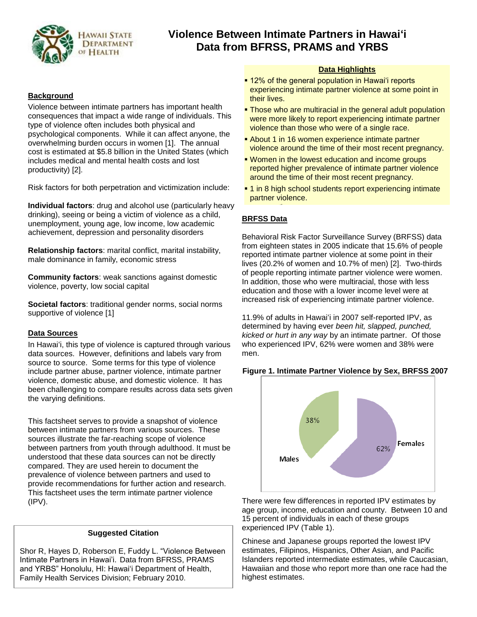

# **Violence Between Intimate Partners in Hawai'i Data from BFRSS, PRAMS and YRBS**

# **Background**

Violence between intimate partners has important health consequences that impact a wide range of individuals. This type of violence often includes both physical and psychological components. While it can affect anyone, the overwhelming burden occurs in women [1]. The annual cost is estimated at \$5.8 billion in the United States (which includes medical and mental health costs and lost productivity) [2].

Risk factors for both perpetration and victimization include:

**Individual factors**: drug and alcohol use (particularly heavy drinking), seeing or being a victim of violence as a child, unemployment, young age, low income, low academic achievement, depression and personality disorders

**Relationship factors**: marital conflict, marital instability, male dominance in family, economic stress

**Community factors**: weak sanctions against domestic violence, poverty, low social capital

**Societal factors**: traditional gender norms, social norms supportive of violence [1]

# **Data Sources**

In Hawai"i, this type of violence is captured through various data sources. However, definitions and labels vary from source to source. Some terms for this type of violence include partner abuse, partner violence, intimate partner violence, domestic abuse, and domestic violence. It has been challenging to compare results across data sets given the varying definitions.

This factsheet serves to provide a snapshot of violence between intimate partners from various sources. These sources illustrate the far-reaching scope of violence between partners from youth through adulthood. It must be understood that these data sources can not be directly compared. They are used herein to document the prevalence of violence between partners and used to provide recommendations for further action and research. This factsheet uses the term intimate partner violence (IPV).

# **Suggested Citation**

Shor R, Hayes D, Roberson E, Fuddy L. "Violence Between Intimate Partners in Hawai"i. Data from BFRSS, PRAMS and YRBS" Honolulu, HI: Hawai'i Department of Health, Family Health Services Division; February 2010.

# **Data Highlights**

- **12% of the general population in Hawai'i reports** experiencing intimate partner violence at some point in their lives.
- **Those who are multiracial in the general adult population** were more likely to report experiencing intimate partner violence than those who were of a single race.
- **About 1 in 16 women experience intimate partner** violence around the time of their most recent pregnancy.
- **Women in the lowest education and income groups** reported higher prevalence of intimate partner violence around the time of their most recent pregnancy.
- **1** in 8 high school students report experiencing intimate partner violence. 1 in 5 10th grade females reported experiencing sexual

# **BRFSS Data**

Behavioral Risk Factor Surveillance Survey (BRFSS) data from eighteen states in 2005 indicate that 15.6% of people reported intimate partner violence at some point in their lives (20.2% of women and 10.7% of men) [2]. Two-thirds of people reporting intimate partner violence were women. In addition, those who were multiracial, those with less education and those with a lower income level were at increased risk of experiencing intimate partner violence.

11.9% of adults in Hawai'i in 2007 self-reported IPV, as determined by having ever *been hit, slapped, punched, kicked or hurt in any way* by an intimate partner. Of those who experienced IPV, 62% were women and 38% were men.

# **Figure 1. Intimate Partner Violence by Sex, BRFSS 2007**



There were few differences in reported IPV estimates by age group, income, education and county. Between 10 and 15 percent of individuals in each of these groups experienced IPV (Table 1).

Chinese and Japanese groups reported the lowest IPV estimates, Filipinos, Hispanics, Other Asian, and Pacific Islanders reported intermediate estimates, while Caucasian, Hawaiian and those who report more than one race had the highest estimates.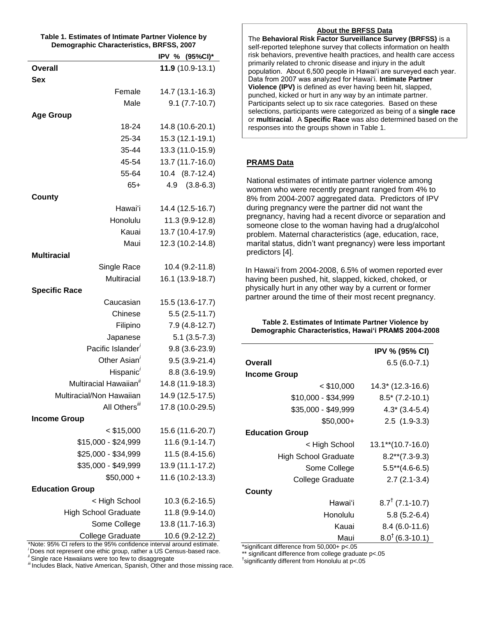| Table 1. Estimates of Intimate Partner Violence by |  |
|----------------------------------------------------|--|
| Demographic Characteristics, BRFSS, 2007           |  |

|                                            | IPV % (95%CI)*                 |  |  |
|--------------------------------------------|--------------------------------|--|--|
| <b>Overall</b>                             | 11.9 (10.9-13.1)               |  |  |
| <b>Sex</b>                                 |                                |  |  |
| Female                                     | 14.7 (13.1-16.3)               |  |  |
| Male                                       | $9.1 (7.7 - 10.7)$             |  |  |
| <b>Age Group</b>                           |                                |  |  |
| 18-24                                      | 14.8 (10.6-20.1)               |  |  |
| 25-34                                      | 15.3 (12.1-19.1)               |  |  |
| 35-44                                      | 13.3 (11.0-15.9)               |  |  |
| 45-54                                      | 13.7 (11.7-16.0)               |  |  |
| 55-64                                      | 10.4 (8.7-12.4)                |  |  |
| $65+$                                      | $4.9$ $(3.8-6.3)$              |  |  |
| County                                     |                                |  |  |
| Hawai'i                                    | 14.4 (12.5-16.7)               |  |  |
| Honolulu                                   | 11.3 (9.9-12.8)                |  |  |
| Kauai                                      | 13.7 (10.4-17.9)               |  |  |
| Maui                                       | 12.3 (10.2-14.8)               |  |  |
| <b>Multiracial</b>                         |                                |  |  |
| Single Race                                | 10.4 (9.2-11.8)                |  |  |
| Multiracial                                | 16.1 (13.9-18.7)               |  |  |
| <b>Specific Race</b>                       |                                |  |  |
| Caucasian                                  | 15.5 (13.6-17.7)               |  |  |
| Chinese                                    | $5.5(2.5-11.7)$                |  |  |
| Filipino                                   | $7.9(4.8-12.7)$                |  |  |
| Japanese                                   | $5.1(3.5-7.3)$                 |  |  |
| Pacific Islander <sup>i</sup>              | $9.8(3.6-23.9)$                |  |  |
| Other Asian <sup>'</sup>                   | $9.5(3.9-21.4)$                |  |  |
| Hispanic'                                  | 8.8 (3.6-19.9)                 |  |  |
| Multiracial Hawaiian <sup>ii</sup>         | 14.8 (11.9-18.3)               |  |  |
| Multiracial/Non Hawaiian                   | 14.9 (12.5-17.5)               |  |  |
| All Others <sup>iii</sup>                  | 17.8 (10.0-29.5)               |  |  |
| <b>Income Group</b>                        |                                |  |  |
| $<$ \$15,000                               | 15.6 (11.6-20.7)               |  |  |
| \$15,000 - \$24,999                        | 11.6 (9.1-14.7)                |  |  |
| \$25,000 - \$34,999                        | 11.5 (8.4-15.6)                |  |  |
| \$35,000 - \$49,999                        | 13.9 (11.1-17.2)               |  |  |
| $$50,000 +$                                | 11.6 (10.2-13.3)               |  |  |
| <b>Education Group</b>                     |                                |  |  |
| < High School                              | 10.3 (6.2-16.5)                |  |  |
| <b>High School Graduate</b>                | 11.8 (9.9-14.0)                |  |  |
| Some College                               | 13.8 (11.7-16.3)               |  |  |
| College Graduate<br>The the 25% confidence | $\frac{10.6 (9.2 - 12.2)}{20}$ |  |  |

Note: 95% CI refers to the 95% confidence interval around estimate. *<sup>i</sup>* Does not represent one ethic group, rather a US Census-based race. *ii* Single race Hawaiians were too few to disaggregate

*iii* Includes Black, Native American, Spanish, Other and those missing race.

*ii* Single race to the BRFSS Data

The **Behavioral Risk Factor Surveillance Survey (BRFSS)** is a **i** sen-reported telephone survey mat collects imormation on nealth<br>risk behaviors, preventive health practices, and health care access  $\vert$  primarily related to chronic disease and injury in the adult self-reported telephone survey that collects information on health population. About 6,500 people in Hawai"i are surveyed each year. Data from 2007 was analyzed for Hawai"i. **Intimate Partner Violence (IPV)** is defined as ever having been hit, slapped, punched, kicked or hurt in any way by an intimate partner. Participants select up to six race categories. Based on these selections, participants were categorized as being of a **single race** or **multiracial**. A **Specific Race** was also determined based on the responses into the groups shown in Table 1.

# **PRAMS Data**

National estimates of intimate partner violence among women who were recently pregnant ranged from 4% to 8% from 2004-2007 aggregated data. Predictors of IPV during pregnancy were the partner did not want the pregnancy, having had a recent divorce or separation and someone close to the woman having had a drug/alcohol problem. Maternal characteristics (age, education, race, marital status, didn"t want pregnancy) were less important predictors [4].

In Hawai'i from 2004-2008, 6.5% of women reported ever having been pushed, hit, slapped, kicked, choked, or physically hurt in any other way by a current or former partner around the time of their most recent pregnancy.

**Table 2. Estimates of Intimate Partner Violence by Demographic Characteristics, Hawai'i PRAMS 2004-2008**

|                             | <b>IPV % (95% CI)</b>      |  |
|-----------------------------|----------------------------|--|
| Overall                     | $6.5(6.0-7.1)$             |  |
| <b>Income Group</b>         |                            |  |
| $<$ \$10,000                | 14.3* (12.3-16.6)          |  |
| \$10,000 - \$34,999         | $8.5$ * (7.2-10.1)         |  |
| \$35,000 - \$49,999         | $4.3*(3.4-5.4)$            |  |
| $$50,000+$                  | $2.5(1.9-3.3)$             |  |
| <b>Education Group</b>      |                            |  |
| < High School               | 13.1**(10.7-16.0)          |  |
| <b>High School Graduate</b> | $8.2**$ (7.3-9.3)          |  |
| Some College                | $5.5**$ (4.6-6.5)          |  |
| College Graduate            | $2.7(2.1-3.4)$             |  |
| County                      |                            |  |
| Hawai'i                     | $8.7^{\dagger}$ (7.1-10.7) |  |
| Honolulu                    | $5.8(5.2-6.4)$             |  |
| Kauai                       | $8.4(6.0-11.6)$            |  |
| Maui                        | $8.0^{†}$ (6.3-10.1)       |  |

\*significant difference from 50,000+ p<.05

\*\* significant difference from college graduate p<.05

† significantly different from Honolulu at p<.05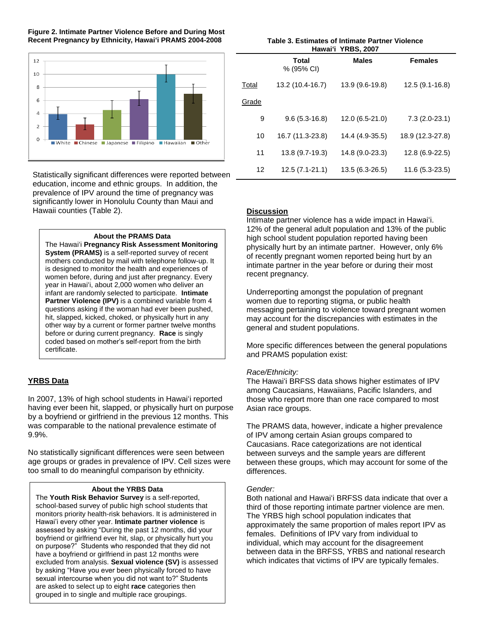**Figure 2. Intimate Partner Violence Before and During Most Recent Pregnancy by Ethnicity, Hawai'i PRAMS 2004-2008**



Statistically significant differences were reported between education, income and ethnic groups. In addition, the prevalence of IPV around the time of pregnancy was significantly lower in Honolulu County than Maui and Hawaii counties (Table 2).

#### **About the PRAMS Data**

The Hawai"i **Pregnancy Risk Assessment Monitoring System (PRAMS)** is a self-reported survey of recent mothers conducted by mail with telephone follow-up. It is designed to monitor the health and experiences of women before, during and just after pregnancy. Every year in Hawai"i, about 2,000 women who deliver an infant are randomly selected to participate. **Intimate Partner Violence (IPV)** is a combined variable from 4 questions asking if the woman had ever been pushed, hit, slapped, kicked, choked, or physically hurt in any other way by a current or former partner twelve months before or during current pregnancy. **Race** is singly coded based on mother"s self-report from the birth certificate.

#### **YRBS Data**

In 2007, 13% of high school students in Hawai"i reported having ever been hit, slapped, or physically hurt on purpose by a boyfriend or girlfriend in the previous 12 months. This was comparable to the national prevalence estimate of 9.9%.

No statistically significant differences were seen between age groups or grades in prevalence of IPV. Cell sizes were too small to do meaningful comparison by ethnicity.

#### **About the YRBS Data**

The **Youth Risk Behavior Survey** is a self-reported, school-based survey of public high school students that monitors priority health-risk behaviors. It is administered in Hawai"i every other year. **Intimate partner violence** is assessed by asking "During the past 12 months, did your boyfriend or girlfriend ever hit, slap, or physically hurt you on purpose?" Students who responded that they did not have a boyfriend or girlfriend in past 12 months were excluded from analysis. **Sexual violence (SV)** is assessed by asking "Have you ever been physically forced to have sexual intercourse when you did not want to?" Students are asked to select up to eight **race** categories then grouped in to single and multiple race groupings.

| Table 3. Estimates of Intimate Partner Violence |  |
|-------------------------------------------------|--|
| Hawai'i YRBS, 2007                              |  |

|       | Total<br>% (95% CI) | <b>Males</b>    | <b>Females</b>   |
|-------|---------------------|-----------------|------------------|
| Total | 13.2 (10.4-16.7)    | 13.9 (9.6-19.8) | 12.5 (9.1-16.8)  |
| Grade |                     |                 |                  |
| 9     | $9.6(5.3-16.8)$     | 12.0 (6.5-21.0) | $7.3(2.0-23.1)$  |
| 10    | 16.7 (11.3-23.8)    | 14.4 (4.9-35.5) | 18.9 (12.3-27.8) |
| 11    | 13.8 (9.7-19.3)     | 14.8 (9.0-23.3) | 12.8 (6.9-22.5)  |
| 12    | $12.5(7.1-21.1)$    | 13.5 (6.3-26.5) | 11.6 (5.3-23.5)  |

#### **Discussion**

Intimate partner violence has a wide impact in Hawai"i. 12% of the general adult population and 13% of the public high school student population reported having been physically hurt by an intimate partner. However, only 6% of recently pregnant women reported being hurt by an intimate partner in the year before or during their most recent pregnancy.

Underreporting amongst the population of pregnant women due to reporting stigma, or public health messaging pertaining to violence toward pregnant women may account for the discrepancies with estimates in the general and student populations.

More specific differences between the general populations and PRAMS population exist:

#### *Race/Ethnicity:*

The Hawai'i BRFSS data shows higher estimates of IPV among Caucasians, Hawaiians, Pacific Islanders, and those who report more than one race compared to most Asian race groups.

The PRAMS data, however, indicate a higher prevalence of IPV among certain Asian groups compared to Caucasians. Race categorizations are not identical between surveys and the sample years are different between these groups, which may account for some of the differences.

#### *Gender:*

Both national and Hawai"i BRFSS data indicate that over a third of those reporting intimate partner violence are men. The YRBS high school population indicates that approximately the same proportion of males report IPV as females. Definitions of IPV vary from individual to individual, which may account for the disagreement between data in the BRFSS, YRBS and national research which indicates that victims of IPV are typically females.